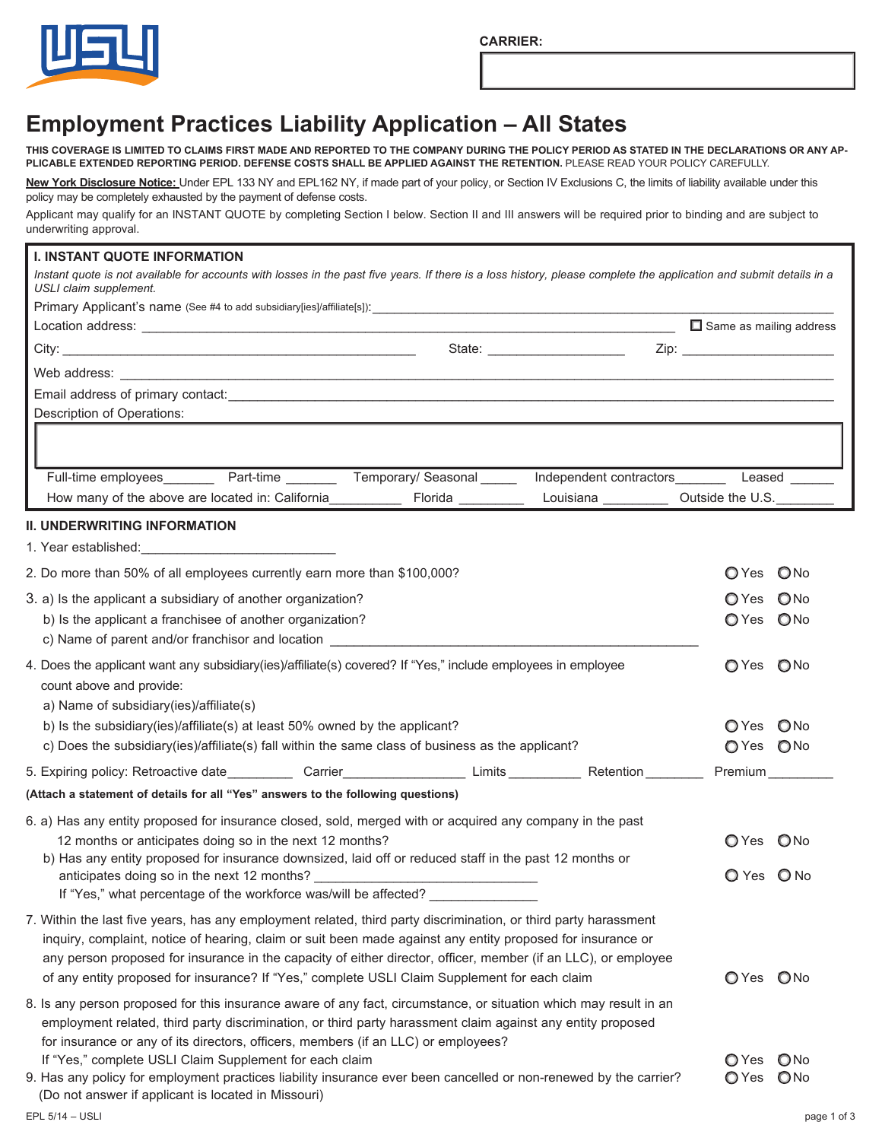**CARRIER:**



# **Employment Practices Liability Application – All States**

**THIS COVERAGE IS LIMITED TO CLAIMS FIRST MADE AND REPORTED TO THE COMPANY DURING THE POLICY PERIOD AS STATED IN THE DECLARATIONS OR ANY AP-PLICABLE EXTENDED REPORTING PERIOD. DEFENSE COSTS SHALL BE APPLIED AGAINST THE RETENTION.** PLEASE READ YOUR POLICY CAREFULLY.

**New York Disclosure Notice:** Under EPL 133 NY and EPL162 NY, if made part of your policy, or Section IV Exclusions C, the limits of liability available under this policy may be completely exhausted by the payment of defense costs.

Applicant may qualify for an INSTANT QUOTE by completing Section I below. Section II and III answers will be required prior to binding and are subject to underwriting approval.

## **I. INSTANT QUOTE INFORMATION**

Instant quote is not available for accounts with losses in the past five years. If there is a loss history, please complete the application and submit details in a *USLI claim supplement.*

|                                                                                                                                                                                                                                      |                  |                     | $\Box$ Same as mailing address |
|--------------------------------------------------------------------------------------------------------------------------------------------------------------------------------------------------------------------------------------|------------------|---------------------|--------------------------------|
|                                                                                                                                                                                                                                      |                  |                     |                                |
|                                                                                                                                                                                                                                      |                  |                     |                                |
|                                                                                                                                                                                                                                      |                  |                     |                                |
| Description of Operations:                                                                                                                                                                                                           |                  |                     |                                |
|                                                                                                                                                                                                                                      |                  |                     |                                |
| Full-time employees _________ Part-time _________ Temporary/ Seasonal ______                                                                                                                                                         |                  |                     |                                |
| How many of the above are located in: California                                                                                                                                                                                     | Florida ________ | Louisiana _________ | Outside the U.S.               |
| <b>II. UNDERWRITING INFORMATION</b>                                                                                                                                                                                                  |                  |                     |                                |
|                                                                                                                                                                                                                                      |                  |                     |                                |
| 2. Do more than 50% of all employees currently earn more than \$100,000?                                                                                                                                                             |                  |                     | O Yes O No                     |
| 3. a) Is the applicant a subsidiary of another organization?                                                                                                                                                                         |                  |                     | O Yes O No                     |
| b) Is the applicant a franchisee of another organization?                                                                                                                                                                            |                  |                     | OYes ONo                       |
| c) Name of parent and/or franchisor and location <b>container the control of the control of the control of the control of the control of the control of the control of the control of the control of the control of the control </b> |                  |                     |                                |
| 4. Does the applicant want any subsidiary(ies)/affiliate(s) covered? If "Yes," include employees in employee                                                                                                                         |                  |                     | O Yes O No                     |
| count above and provide:                                                                                                                                                                                                             |                  |                     |                                |
| a) Name of subsidiary (ies)/affiliate(s)                                                                                                                                                                                             |                  |                     |                                |
| b) Is the subsidiary(ies)/affiliate(s) at least 50% owned by the applicant?<br>c) Does the subsidiary(ies)/affiliate(s) fall within the same class of business as the applicant?                                                     |                  |                     | OYes ONo<br>OYes ONo           |
|                                                                                                                                                                                                                                      |                  |                     |                                |
| 5. Expiring policy: Retroactive date ____________ Carrier_______________________Limits ____________ Retention ________                                                                                                               |                  |                     | Premium                        |
| (Attach a statement of details for all "Yes" answers to the following questions)                                                                                                                                                     |                  |                     |                                |
| 6. a) Has any entity proposed for insurance closed, sold, merged with or acquired any company in the past                                                                                                                            |                  |                     |                                |
| 12 months or anticipates doing so in the next 12 months?<br>b) Has any entity proposed for insurance downsized, laid off or reduced staff in the past 12 months or                                                                   |                  |                     | O Yes O No                     |
| anticipates doing so in the next 12 months?                                                                                                                                                                                          |                  |                     | O Yes O No                     |
| If "Yes," what percentage of the workforce was/will be affected?                                                                                                                                                                     |                  |                     |                                |
| 7. Within the last five years, has any employment related, third party discrimination, or third party harassment                                                                                                                     |                  |                     |                                |
| inquiry, complaint, notice of hearing, claim or suit been made against any entity proposed for insurance or                                                                                                                          |                  |                     |                                |
| any person proposed for insurance in the capacity of either director, officer, member (if an LLC), or employee                                                                                                                       |                  |                     |                                |
| of any entity proposed for insurance? If "Yes," complete USLI Claim Supplement for each claim                                                                                                                                        |                  |                     | OYes ONo                       |
| 8. Is any person proposed for this insurance aware of any fact, circumstance, or situation which may result in an<br>employment related, third party discrimination, or third party harassment claim against any entity proposed     |                  |                     |                                |
| for insurance or any of its directors, officers, members (if an LLC) or employees?                                                                                                                                                   |                  |                     |                                |

If "Yes," complete USLI Claim Supplement for each claim  $\Box$  Yes  $\Box$  No

9. Has any policy for employment practices liability insurance ever been cancelled or non-renewed by the carrier?  $\bigcirc$  Yes  $\bigcirc$  No (Do not answer if applicant is located in Missouri)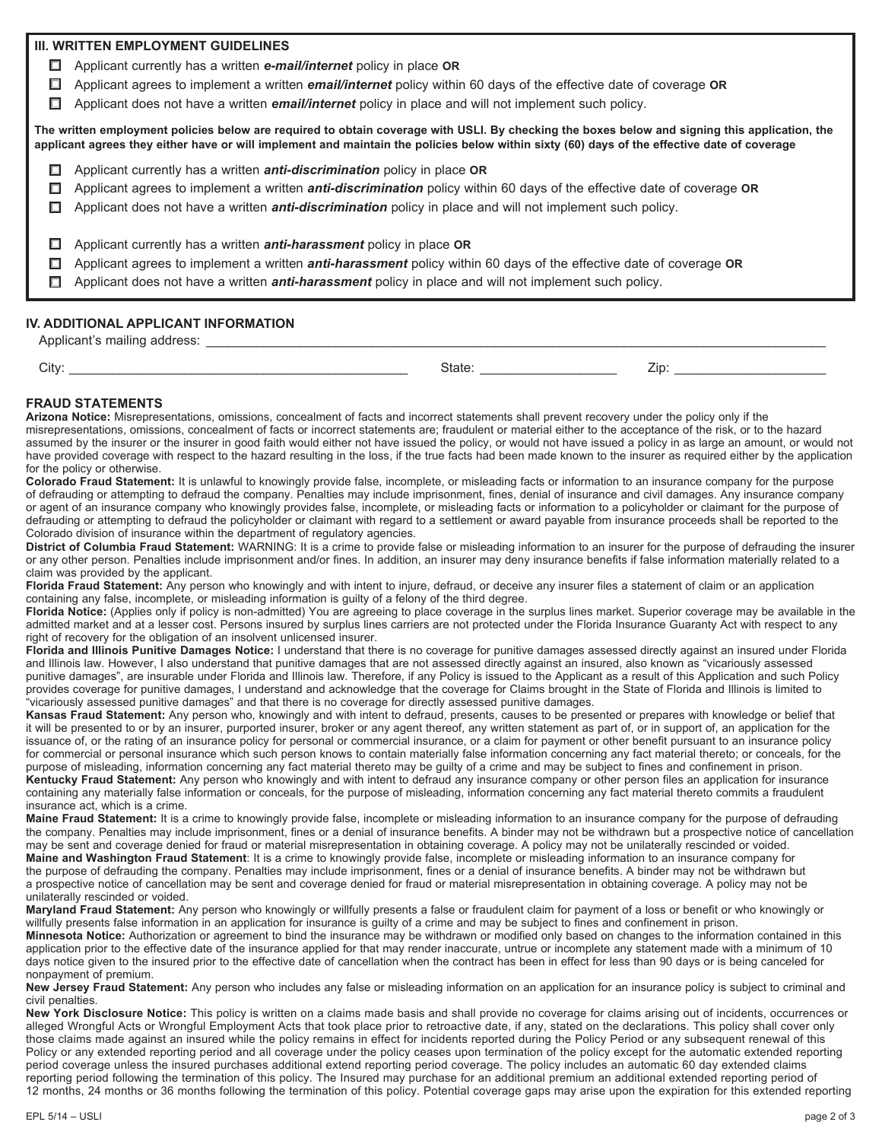## **III. WRITTEN EMPLOYMENT GUIDELINES**

- Applicant currently has a written *e-mail/internet* policy in place **OR**
- Applicant agrees to implement a written *email/internet* policy within 60 days of the effective date of coverage **OR**
- Applicant does not have a written *email/internet* policy in place and will not implement such policy.

**The written employment policies below are required to obtain coverage with USLI. By checking the boxes below and signing this application, the applicant agrees they either have or will implement and maintain the policies below within sixty (60) days of the effective date of coverage**

- Applicant currently has a written *anti-discrimination* policy in place **OR**
- Applicant agrees to implement a written *anti-discrimination* policy within 60 days of the effective date of coverage **OR**
- Applicant does not have a written *anti-discrimination* policy in place and will not implement such policy.
- Applicant currently has a written *anti-harassment* policy in place **OR**
- Applicant agrees to implement a written *anti-harassment* policy within 60 days of the effective date of coverage **OR**
- Applicant does not have a written *anti-harassment* policy in place and will not implement such policy.

### **IV. ADDITIONAL APPLICANT INFORMATION**

Applicant's mailing address: \_\_\_\_\_\_\_\_\_\_\_\_\_\_\_\_\_\_\_\_\_\_\_\_\_\_\_\_\_\_\_\_\_\_\_\_\_\_\_\_\_\_\_\_\_\_\_\_\_\_\_\_\_\_\_\_\_\_\_\_\_\_\_\_\_\_\_\_\_\_\_\_\_\_\_\_\_\_\_\_\_\_\_\_\_\_

| ۰,<br>×. |  |
|----------|--|

City: \_\_\_\_\_\_\_\_\_\_\_\_\_\_\_\_\_\_\_\_\_\_\_\_\_\_\_\_\_\_\_\_\_\_\_\_\_\_\_\_\_\_\_\_\_\_\_ State: \_\_\_\_\_\_\_\_\_\_\_\_\_\_\_\_\_\_\_ Zip: \_\_\_\_\_\_\_\_\_\_\_\_\_\_\_\_\_\_\_\_\_

### **FRAUD STATEMENTS**

**Arizona Notice:** Misrepresentations, omissions, concealment of facts and incorrect statements shall prevent recovery under the policy only if the misrepresentations, omissions, concealment of facts or incorrect statements are; fraudulent or material either to the acceptance of the risk, or to the hazard assumed by the insurer or the insurer in good faith would either not have issued the policy, or would not have issued a policy in as large an amount, or would not have provided coverage with respect to the hazard resulting in the loss, if the true facts had been made known to the insurer as required either by the application for the policy or otherwise.

**Colorado Fraud Statement:** It is unlawful to knowingly provide false, incomplete, or misleading facts or information to an insurance company for the purpose of defrauding or attempting to defraud the company. Penalties may include imprisonment, fines, denial of insurance and civil damages. Any insurance company or agent of an insurance company who knowingly provides false, incomplete, or misleading facts or information to a policyholder or claimant for the purpose of defrauding or attempting to defraud the policyholder or claimant with regard to a settlement or award payable from insurance proceeds shall be reported to the Colorado division of insurance within the department of regulatory agencies.

**District of Columbia Fraud Statement:** WARNING: It is a crime to provide false or misleading information to an insurer for the purpose of defrauding the insurer or any other person. Penalties include imprisonment and/or fines. In addition, an insurer may deny insurance benefits if false information materially related to a claim was provided by the applicant.

**Florida Fraud Statement:** Any person who knowingly and with intent to injure, defraud, or deceive any insurer files a statement of claim or an application containing any false, incomplete, or misleading information is guilty of a felony of the third degree.

**Florida Notice:** (Applies only if policy is non-admitted) You are agreeing to place coverage in the surplus lines market. Superior coverage may be available in the admitted market and at a lesser cost. Persons insured by surplus lines carriers are not protected under the Florida Insurance Guaranty Act with respect to any right of recovery for the obligation of an insolvent unlicensed insurer.

**Florida and Illinois Punitive Damages Notice:** I understand that there is no coverage for punitive damages assessed directly against an insured under Florida and Illinois law. However, I also understand that punitive damages that are not assessed directly against an insured, also known as "vicariously assessed punitive damages", are insurable under Florida and Illinois law. Therefore, if any Policy is issued to the Applicant as a result of this Application and such Policy provides coverage for punitive damages, I understand and acknowledge that the coverage for Claims brought in the State of Florida and Illinois is limited to "vicariously assessed punitive damages" and that there is no coverage for directly assessed punitive damages.

Kansas Fraud Statement: Any person who, knowingly and with intent to defraud, presents, causes to be presented or prepares with knowledge or belief that it will be presented to or by an insurer, purported insurer, broker or any agent thereof, any written statement as part of, or in support of, an application for the issuance of, or the rating of an insurance policy for personal or commercial insurance, or a claim for payment or other benefit pursuant to an insurance policy for commercial or personal insurance which such person knows to contain materially false information concerning any fact material thereto; or conceals, for the purpose of misleading, information concerning any fact material thereto may be guilty of a crime and may be subject to fines and confinement in prison. **Kentucky Fraud Statement:** Any person who knowingly and with intent to defraud any insurance company or other person files an application for insurance containing any materially false information or conceals, for the purpose of misleading, information concerning any fact material thereto commits a fraudulent insurance act, which is a crime.

**Maine Fraud Statement:** It is a crime to knowingly provide false, incomplete or misleading information to an insurance company for the purpose of defrauding the company. Penalties may include imprisonment, fines or a denial of insurance benefits. A binder may not be withdrawn but a prospective notice of cancellation may be sent and coverage denied for fraud or material misrepresentation in obtaining coverage. A policy may not be unilaterally rescinded or voided. **Maine and Washington Fraud Statement**: It is a crime to knowingly provide false, incomplete or misleading information to an insurance company for the purpose of defrauding the company. Penalties may include imprisonment, fines or a denial of insurance benefits. A binder may not be withdrawn but a prospective notice of cancellation may be sent and coverage denied for fraud or material misrepresentation in obtaining coverage. A policy may not be unilaterally rescinded or voided.

**Maryland Fraud Statement:** Any person who knowingly or willfully presents a false or fraudulent claim for payment of a loss or benefit or who knowingly or willfully presents false information in an application for insurance is guilty of a crime and may be subject to fines and confinement in prison. **Minnesota Notice:** Authorization or agreement to bind the insurance may be withdrawn or modified only based on changes to the information contained in this application prior to the effective date of the insurance applied for that may render inaccurate, untrue or incomplete any statement made with a minimum of 10 days notice given to the insured prior to the effective date of cancellation when the contract has been in effect for less than 90 days or is being canceled for nonpayment of premium.

**New Jersey Fraud Statement:** Any person who includes any false or misleading information on an application for an insurance policy is subject to criminal and civil penalties.

**New York Disclosure Notice:** This policy is written on a claims made basis and shall provide no coverage for claims arising out of incidents, occurrences or alleged Wrongful Acts or Wrongful Employment Acts that took place prior to retroactive date, if any, stated on the declarations. This policy shall cover only those claims made against an insured while the policy remains in effect for incidents reported during the Policy Period or any subsequent renewal of this Policy or any extended reporting period and all coverage under the policy ceases upon termination of the policy except for the automatic extended reporting period coverage unless the insured purchases additional extend reporting period coverage. The policy includes an automatic 60 day extended claims reporting period following the termination of this policy. The Insured may purchase for an additional premium an additional extended reporting period of 12 months, 24 months or 36 months following the termination of this policy. Potential coverage gaps may arise upon the expiration for this extended reporting